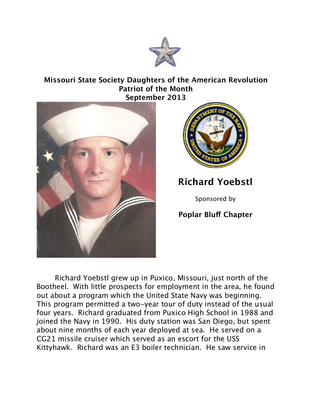

## **Missouri State Society Daughters of the American Revolution Patriot of the Month September 2013**





## **Richard Yoebstl**

Sponsored by

## **Poplar Bluf Chapter**

Richard Yoebstl grew up in Puxico, Missouri, just north of the Bootheel. With little prospects for employment in the area, he found out about a program which the United State Navy was beginning. This program permitted a two-year tour of duty instead of the usual four years. Richard graduated from Puxico High School in 1988 and joined the Navy in 1990. His duty station was San Diego, but spent about nine months of each year deployed at sea. He served on a CG21 missile cruiser which served as an escort for the USS Kittyhawk. Richard was an E3 boiler technician. He saw service in